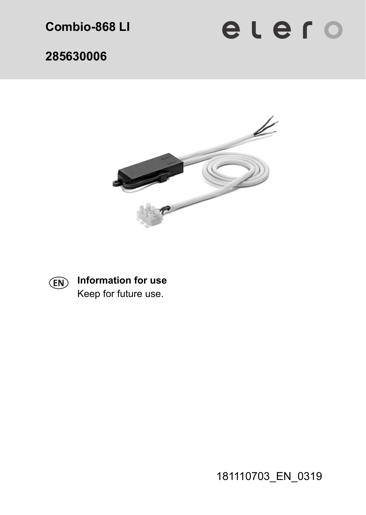**Combio-868 LI** 

elero

**285630006** 





**Information for use**  Keep for future use.

181110703\_EN\_0319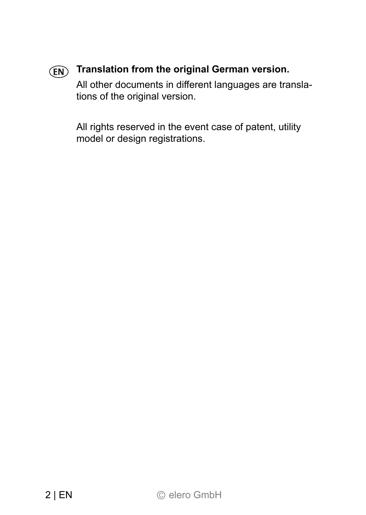# **Translation from the original German version.**

All other documents in different languages are translations of the original version.

All rights reserved in the event case of patent, utility model or design registrations.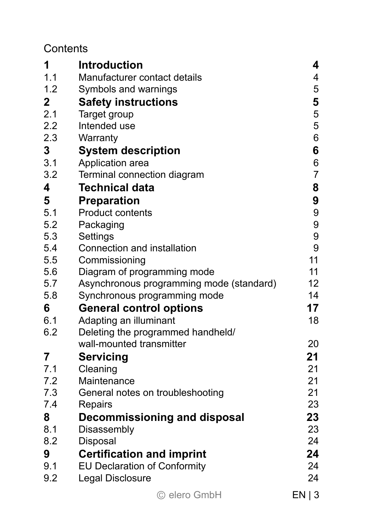#### **Contents**

| 1              | <b>Introduction</b>                                                     | 4              |
|----------------|-------------------------------------------------------------------------|----------------|
| 1.1            | Manufacturer contact details                                            | 4              |
| 1.2            | Symbols and warnings                                                    | 5              |
| $\overline{2}$ | <b>Safety instructions</b>                                              | 5              |
| 2.1            | Target group                                                            | 5              |
| 2.2            | Intended use                                                            | 5              |
| 2.3            | Warranty                                                                | 6              |
| 3              | <b>System description</b>                                               | 6              |
| 3.1            | Application area                                                        | 6              |
| 3.2            | Terminal connection diagram                                             | $\overline{7}$ |
| 4              | <b>Technical data</b>                                                   | 8              |
| 5              | <b>Preparation</b>                                                      | 9              |
| 5.1            | <b>Product contents</b>                                                 | 9              |
| 5.2            | Packaging                                                               | 9              |
| 5.3            | Settings                                                                | 9              |
| 5.4            | Connection and installation                                             | 9<br>11        |
| 5.5            | Commissioning                                                           |                |
| 5.6            | Diagram of programming mode                                             | 11             |
| 5.7<br>5.8     | Asynchronous programming mode (standard)                                | 12<br>14       |
|                | Synchronous programming mode                                            | 17             |
| 6              | <b>General control options</b>                                          |                |
| 6.1<br>6.2     | Adapting an illuminant                                                  | 18             |
|                | Deleting the programmed handheld/<br>wall-mounted transmitter           | 20             |
| 7              |                                                                         | 21             |
| 7.1            | Servicing<br>Cleaning                                                   | 21             |
| 7.2            | Maintenance                                                             | 21             |
| 7.3            | General notes on troubleshooting                                        | 21             |
| 7.4            | Repairs                                                                 | 23             |
| 8              |                                                                         | 23             |
| 8.1            | Decommissioning and disposal<br>Disassembly                             | 23             |
| 8.2            | Disposal                                                                | 24             |
|                |                                                                         | 24             |
| 9<br>9.1       | <b>Certification and imprint</b><br><b>EU Declaration of Conformity</b> | 24             |
| 9.2            | Legal Disclosure                                                        | 24             |
|                |                                                                         |                |
|                | © elero GmbH                                                            | EN   3         |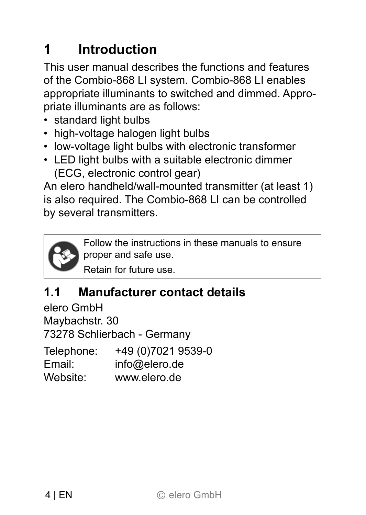# **1 Introduction**

This user manual describes the functions and features of the Combio-868 LI system. Combio-868 LI enables appropriate illuminants to switched and dimmed. Appropriate illuminants are as follows:

- standard light bulbs
- high-voltage halogen light bulbs
- low-voltage light bulbs with electronic transformer
- LED light bulbs with a suitable electronic dimmer (ECG, electronic control gear)

An elero handheld/wall-mounted transmitter (at least 1) is also required. The Combio-868 LI can be controlled by several transmitters.

Follow the instructions in these manuals to ensure proper and safe use.

Retain for future use.

# **1.1 Manufacturer contact details**

elero GmbH Maybachstr. 30 73278 Schlierbach - Germany Telephone: +49 (0)7021 9539-0 Email: info@elero.de Website: www.elero.de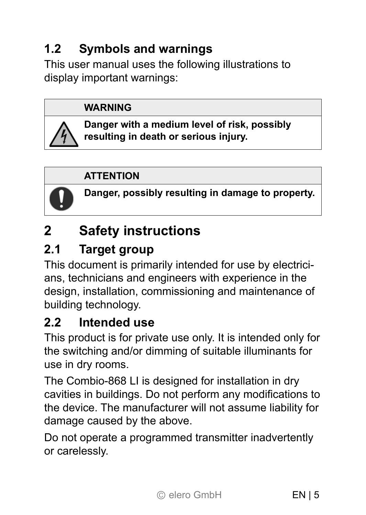# **1.2 Symbols and warnings**

This user manual uses the following illustrations to display important warnings:

#### **WARNING**

**Danger with a medium level of risk, possibly resulting in death or serious injury.** 

#### **ATTENTION**



**Danger, possibly resulting in damage to property.** 

# **2 Safety instructions**

# **2.1 Target group**

This document is primarily intended for use by electricians, technicians and engineers with experience in the design, installation, commissioning and maintenance of building technology.

### **2.2 Intended use**

This product is for private use only. It is intended only for the switching and/or dimming of suitable illuminants for use in dry rooms.

The Combio-868 LI is designed for installation in dry cavities in buildings. Do not perform any modifications to the device. The manufacturer will not assume liability for damage caused by the above.

Do not operate a programmed transmitter inadvertently or carelessly.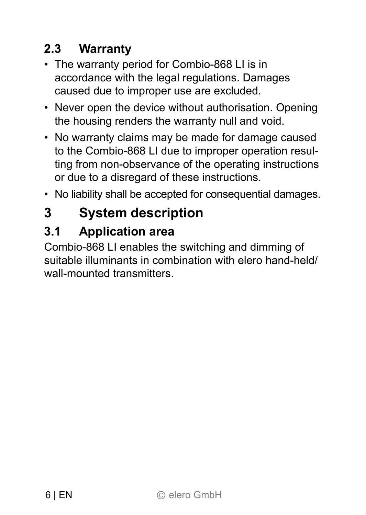# **2.3 Warranty**

- The warranty period for Combio-868 LI is in accordance with the legal regulations. Damages caused due to improper use are excluded.
- Never open the device without authorisation. Opening the housing renders the warranty null and void.
- No warranty claims may be made for damage caused to the Combio-868 LI due to improper operation resulting from non-observance of the operating instructions or due to a disregard of these instructions.
- No liability shall be accepted for consequential damages.

# **3 System description**

# **3.1 Application area**

Combio-868 LI enables the switching and dimming of suitable illuminants in combination with elero hand-held/ wall-mounted transmitters.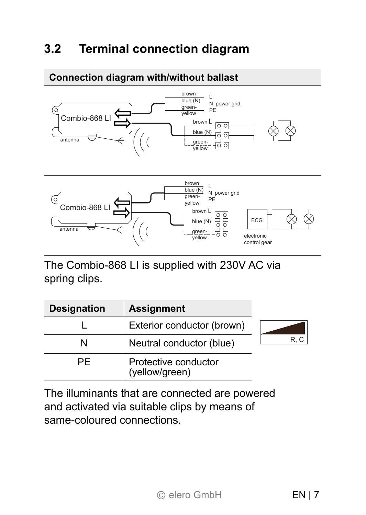### **3.2 Terminal connection diagram**

#### **Connection diagram with/without ballast**





The Combio-868 LI is supplied with 230V AC via spring clips.

| <b>Designation</b> | <b>Assignment</b>                      |     |
|--------------------|----------------------------------------|-----|
|                    | Exterior conductor (brown)             |     |
|                    | Neutral conductor (blue)               | R.C |
| PF                 | Protective conductor<br>(yellow/green) |     |

The illuminants that are connected are powered and activated via suitable clips by means of same-coloured connections.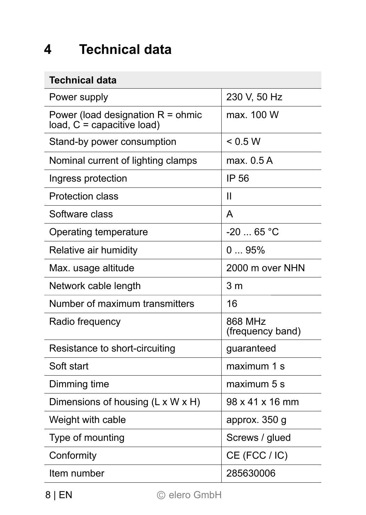# **4 Technical data**

#### **Technical data**

| Power supply                                                      | 230 V, 50 Hz                |
|-------------------------------------------------------------------|-----------------------------|
| Power (load designation R = ohmic<br>load, $C =$ capacitive load) | max. 100 W                  |
| Stand-by power consumption                                        | < 0.5 W                     |
| Nominal current of lighting clamps                                | max. 0.5 A                  |
| Ingress protection                                                | IP 56                       |
| Protection class                                                  | Ш                           |
| Software class                                                    | A                           |
| Operating temperature                                             | $-2065 °C$                  |
| Relative air humidity                                             | 095%                        |
| Max. usage altitude                                               | 2000 m over NHN             |
| Network cable length                                              | 3 <sub>m</sub>              |
| Number of maximum transmitters                                    | 16                          |
| Radio frequency                                                   | 868 MHz<br>(frequency band) |
| Resistance to short-circuiting                                    | guaranteed                  |
| Soft start                                                        | maximum 1 s                 |
| Dimming time                                                      | maximum 5 s                 |
| Dimensions of housing (L x W x H)                                 | 98 x 41 x 16 mm             |
| Weight with cable                                                 | approx. 350 g               |
| Type of mounting                                                  | Screws / glued              |
| Conformity                                                        | CE (FCC / IC)               |
| Item number                                                       | 285630006                   |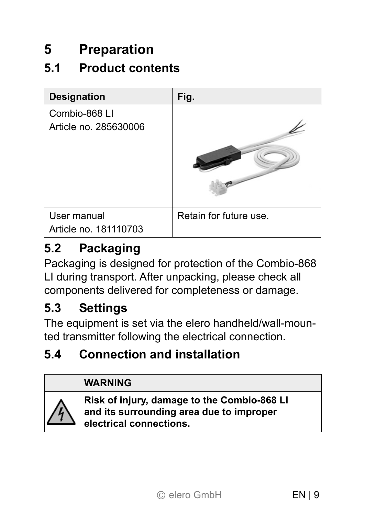# **5 Preparation**

# **5.1 Product contents**



# **5.2 Packaging**

Packaging is designed for protection of the Combio-868 LI during transport. After unpacking, please check all components delivered for completeness or damage.

#### **5.3 Settings**

The equipment is set via the elero handheld/wall-mounted transmitter following the electrical connection.

### **5.4 Connection and installation**

#### **WARNING**



**Risk of injury, damage to the Combio-868 LI and its surrounding area due to improper electrical connections.**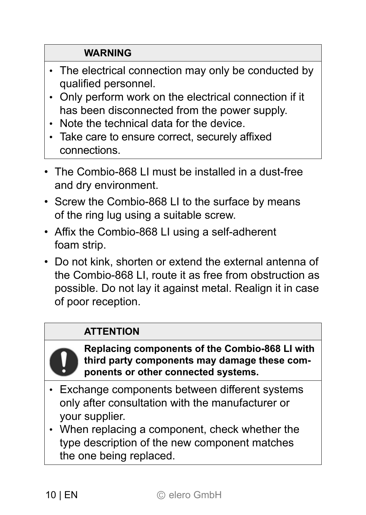#### **WARNING**

- The electrical connection may only be conducted by qualified personnel.
- Only perform work on the electrical connection if it has been disconnected from the power supply.
- Note the technical data for the device.
- Take care to ensure correct, securely affixed connections.
- The Combio-868 LI must be installed in a dust-free and dry environment.
- Screw the Combio-868 LI to the surface by means of the ring lug using a suitable screw.
- Affix the Combio-868 LI using a self-adherent foam strip.
- Do not kink, shorten or extend the external antenna of the Combio-868 LI, route it as free from obstruction as possible. Do not lay it against metal. Realign it in case of poor reception.

#### **ATTENTION**



**Replacing components of the Combio-868 LI with third party components may damage these components or other connected systems.** 

- $\cdot$  Exchange components between different systems only after consultation with the manufacturer or your supplier.
- When replacing a component, check whether the type description of the new component matches the one being replaced.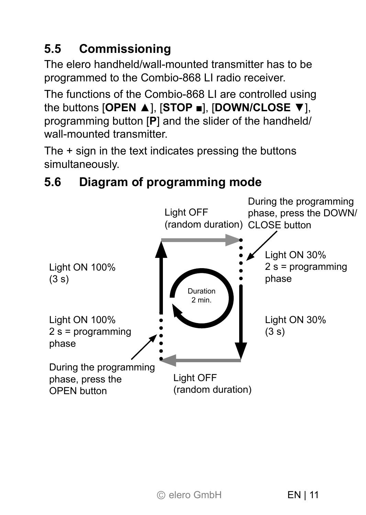# **5.5 Commissioning**

The elero handheld/wall-mounted transmitter has to be programmed to the Combio-868 LI radio receiver.

The functions of the Combio-868 LI are controlled using the buttons [**OPEN** ▲], [**STOP ■**], [**DOWN/CLOSE** ▼], programming button [**P**] and the slider of the handheld/ wall-mounted transmitter

The + sign in the text indicates pressing the buttons simultaneously.

#### During the programming phase, press the DOWN/ (random duration) CLOSE button Light OFF (random duration) Light OFF Light ON 30%  $(3 s)$ Light ON 100%  $(3 s)$ Light ON 30% 2 s = programming phase Light ON 100% 2 s = programming phase During the programming phase, press the OPEN button Duration 2 min.

# **5.6 Diagram of programming mode**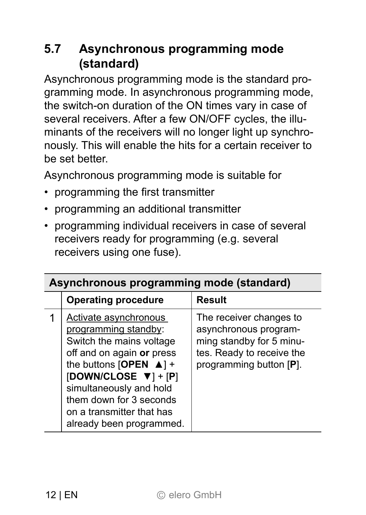### **5.7 Asynchronous programming mode (standard)**

Asynchronous programming mode is the standard programming mode. In asynchronous programming mode, the switch-on duration of the ON times vary in case of several receivers. After a few ON/OFF cycles, the illuminants of the receivers will no longer light up synchronously. This will enable the hits for a certain receiver to be set better.

Asynchronous programming mode is suitable for

- programming the first transmitter
- programming an additional transmitter
- programming individual receivers in case of several receivers ready for programming (e.g. several receivers using one fuse).

| Asynchronous programming mode (standard) |                                                                                                                                                                                                                                                                                               |                                                                                                                                      |
|------------------------------------------|-----------------------------------------------------------------------------------------------------------------------------------------------------------------------------------------------------------------------------------------------------------------------------------------------|--------------------------------------------------------------------------------------------------------------------------------------|
|                                          | <b>Operating procedure</b>                                                                                                                                                                                                                                                                    | Result                                                                                                                               |
|                                          | Activate asynchronous<br>programming standby:<br>Switch the mains voltage<br>off and on again or press<br>the buttons [OPEN $\blacktriangle$ ] +<br>[DOWN/CLOSE $\Psi$ ] + [P]<br>simultaneously and hold<br>them down for 3 seconds<br>on a transmitter that has<br>already been programmed. | The receiver changes to<br>asynchronous program-<br>ming standby for 5 minu-<br>tes. Ready to receive the<br>programming button [P]. |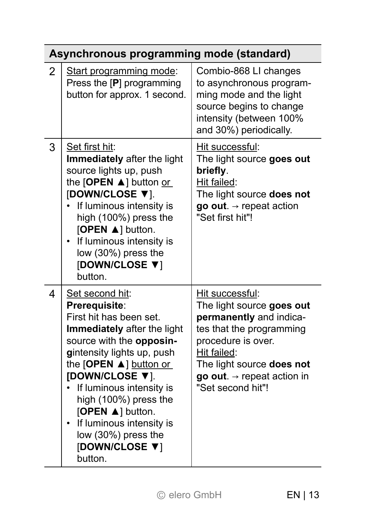|               | Asynchronous programming mode (standard)                                                                                                                                                                                                                                                                                                                             |                                                                                                                                                                                                                                      |
|---------------|----------------------------------------------------------------------------------------------------------------------------------------------------------------------------------------------------------------------------------------------------------------------------------------------------------------------------------------------------------------------|--------------------------------------------------------------------------------------------------------------------------------------------------------------------------------------------------------------------------------------|
| $\mathcal{P}$ | Start programming mode:<br>Press the [P] programming<br>button for approx. 1 second.                                                                                                                                                                                                                                                                                 | Combio-868 LI changes<br>to asynchronous program-<br>ming mode and the light<br>source begins to change<br>intensity (between 100%<br>and 30%) periodically.                                                                         |
| 3             | Set first hit:<br>Immediately after the light<br>source lights up, push<br>the $[OPEN \triangle]$ button or<br>[DOWN/CLOSE ▼].<br>If luminous intensity is<br>high (100%) press the<br>[OPEN A] button.<br>If luminous intensity is<br>low (30%) press the<br>[DOWN/CLOSE ▼]<br>button                                                                               | Hit successful:<br>The light source goes out<br>briefly.<br>Hit failed:<br>The light source does not<br>go out. $\rightarrow$ repeat action<br>"Set first hit"!                                                                      |
| 4             | Set second hit:<br>Prerequisite:<br>First hit has been set.<br>Immediately after the light<br>source with the opposin-<br>gintensity lights up, push<br>the $[OPEN \triangle]$ button or<br>[DOWN/CLOSE ▼].<br>If luminous intensity is<br>high (100%) press the<br>[OPEN ▲] button.<br>If luminous intensity is<br>low (30%) press the<br>[DOWN/CLOSE ▼]<br>button. | Hit successful:<br>The light source goes out<br>permanently and indica-<br>tes that the programming<br>procedure is over.<br>Hit failed:<br>The light source does not<br>go out. $\rightarrow$ repeat action in<br>"Set second hit"! |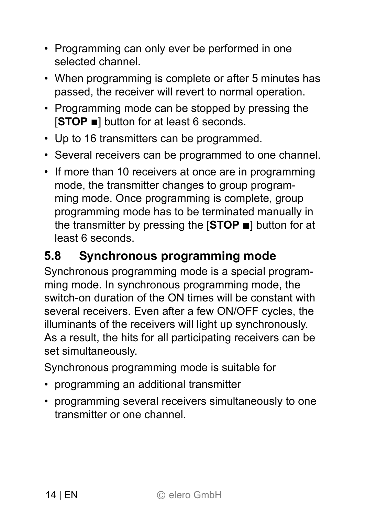- Programming can only ever be performed in one selected channel.
- When programming is complete or after 5 minutes has passed, the receiver will revert to normal operation.
- Programming mode can be stopped by pressing the [**STOP ■**] button for at least 6 seconds.
- Up to 16 transmitters can be programmed.
- Several receivers can be programmed to one channel.
- If more than 10 receivers at once are in programming mode, the transmitter changes to group programming mode. Once programming is complete, group programming mode has to be terminated manually in the transmitter by pressing the [**STOP ■**] button for at least 6 seconds.

### **5.8 Synchronous programming mode**

Synchronous programming mode is a special programming mode. In synchronous programming mode, the switch-on duration of the ON times will be constant with several receivers. Even after a few ON/OFF cycles, the illuminants of the receivers will light up synchronously. As a result, the hits for all participating receivers can be set simultaneously.

Synchronous programming mode is suitable for

- programming an additional transmitter
- programming several receivers simultaneously to one transmitter or one channel.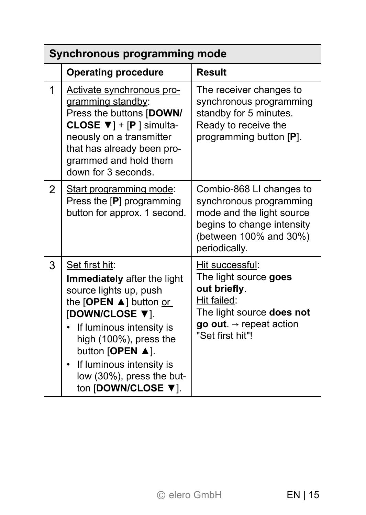| Synchronous programming mode |                                                                                                                                                                                                                                                                                                       |                                                                                                                                                                 |
|------------------------------|-------------------------------------------------------------------------------------------------------------------------------------------------------------------------------------------------------------------------------------------------------------------------------------------------------|-----------------------------------------------------------------------------------------------------------------------------------------------------------------|
|                              | <b>Operating procedure</b>                                                                                                                                                                                                                                                                            | <b>Result</b>                                                                                                                                                   |
| 1                            | Activate synchronous pro-<br>gramming standby:<br>Press the buttons [DOWN/<br>CLOSE $\Psi$ ] + [P ] simulta-<br>neously on a transmitter<br>that has already been pro-<br>grammed and hold them<br>down for 3 seconds.                                                                                | The receiver changes to<br>synchronous programming<br>standby for 5 minutes.<br>Ready to receive the<br>programming button [P].                                 |
| $\mathcal{P}$                | Start programming mode:<br>Press the [P] programming<br>button for approx. 1 second.                                                                                                                                                                                                                  | Combio-868 LI changes to<br>synchronous programming<br>mode and the light source<br>begins to change intensity<br>(between 100% and 30%)<br>periodically.       |
| 3                            | Set first hit:<br>Immediately after the light<br>source lights up, push<br>the $[OPEN \triangle]$ button or<br>[DOWN/CLOSE ▼].<br>If luminous intensity is<br>high (100%), press the<br>button [OPEN A].<br>If luminous intensity is<br>$\bullet$<br>low (30%), press the but-<br>ton [DOWN/CLOSE ▼]. | Hit successful:<br>The light source goes<br>out briefly.<br>Hit failed:<br>The light source does not<br>go out. $\rightarrow$ repeat action<br>"Set first hit"! |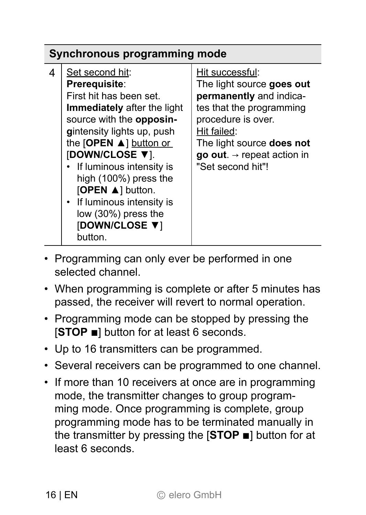| Synchronous programming mode                                                                                                                                                                                                                                                                                                                                                                                                                                                                                                                                                                                                     |  |  |
|----------------------------------------------------------------------------------------------------------------------------------------------------------------------------------------------------------------------------------------------------------------------------------------------------------------------------------------------------------------------------------------------------------------------------------------------------------------------------------------------------------------------------------------------------------------------------------------------------------------------------------|--|--|
| Set second hit:<br>Hit successful:<br>4<br>The light source goes out<br>Prerequisite:<br>First hit has been set.<br>permanently and indica-<br>tes that the programming<br><b>Immediately</b> after the light<br>source with the opposin-<br>procedure is over.<br>Hit failed:<br>gintensity lights up, push<br>the $[OPEN \triangle]$ button or<br>The light source <b>does not</b><br>[DOWN/CLOSE ▼].<br><b>go out</b> . $\rightarrow$ repeat action in<br>"Set second hit"!<br>• If luminous intensity is<br>high (100%) press the<br>[OPEN ▲] button.<br>• If luminous intensity is<br>low (30%) press the<br>[DOWN/CLOSE V] |  |  |

- Programming can only ever be performed in one selected channel.
- When programming is complete or after 5 minutes has passed, the receiver will revert to normal operation.
- Programming mode can be stopped by pressing the [**STOP ■**] button for at least 6 seconds.
- Up to 16 transmitters can be programmed.
- Several receivers can be programmed to one channel.
- If more than 10 receivers at once are in programming mode, the transmitter changes to group programming mode. Once programming is complete, group programming mode has to be terminated manually in the transmitter by pressing the [**STOP ■**] button for at least 6 seconds.

button.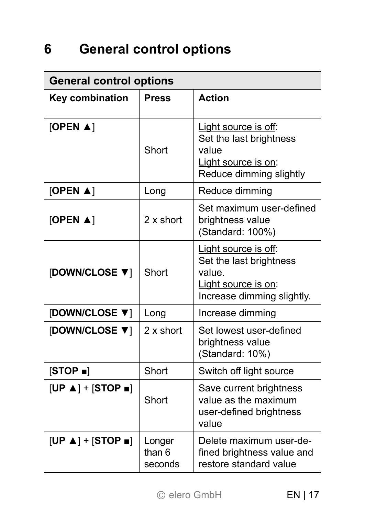# **6 General control options**

| <b>General control options</b>      |                             |                                                                                                               |
|-------------------------------------|-----------------------------|---------------------------------------------------------------------------------------------------------------|
| Key combination                     | <b>Press</b>                | <b>Action</b>                                                                                                 |
| [OPEN $\blacktriangle$ ]            | Short                       | Light source is off:<br>Set the last brightness<br>value<br>Light source is on:<br>Reduce dimming slightly    |
| [OPEN $\blacktriangle$ ]            | Long                        | Reduce dimming                                                                                                |
| [OPEN $\blacktriangle$ ]            | 2 x short                   | Set maximum user-defined<br>brightness value<br>(Standard: 100%)                                              |
| [DOWN/CLOSE ▼]                      | Short                       | Light source is off:<br>Set the last brightness<br>value<br>Light source is on:<br>Increase dimming slightly. |
| [DOWN/CLOSE ▼]                      | Long                        | Increase dimming                                                                                              |
| [DOWN/CLOSE ▼]                      | $2x$ short                  | Set lowest user-defined<br>brightness value<br>(Standard: 10%)                                                |
| [STOP ]                             | Short                       | Switch off light source                                                                                       |
| $[UP \triangle ] + [STOP \square ]$ | Short                       | Save current brightness<br>value as the maximum<br>user-defined brightness<br>value                           |
| $[UP \triangle ] + [STOP \square ]$ | Longer<br>than 6<br>seconds | Delete maximum user-de-<br>fined brightness value and<br>restore standard value                               |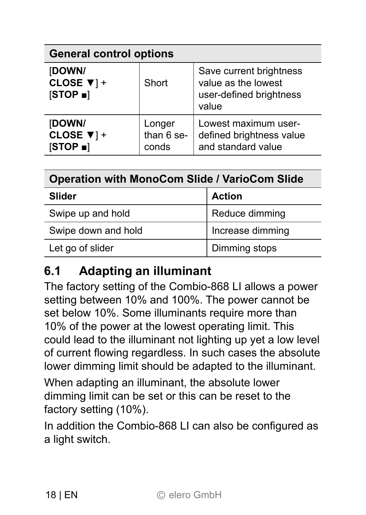| <b>General control options</b>                |                               |                                                                                    |
|-----------------------------------------------|-------------------------------|------------------------------------------------------------------------------------|
| [DOWN/<br>CLOSE $\Psi$ ] +<br>[STOP ]         | Short                         | Save current brightness<br>value as the lowest<br>user-defined brightness<br>value |
| [DOWN/<br>CLOSE $\Psi$ ] +<br><b>ISTOP</b> al | Longer<br>than 6 se-<br>conds | Lowest maximum user-<br>defined brightness value<br>and standard value             |

| <b>Operation with MonoCom Slide / VarioCom Slide</b> |                  |
|------------------------------------------------------|------------------|
| <b>Slider</b>                                        | <b>Action</b>    |
| Swipe up and hold                                    | Reduce dimming   |
| Swipe down and hold                                  | Increase dimming |
| Let go of slider                                     | Dimming stops    |

### **6.1 Adapting an illuminant**

The factory setting of the Combio-868 LI allows a power setting between 10% and 100%. The power cannot be set below 10%. Some illuminants require more than 10% of the power at the lowest operating limit. This could lead to the illuminant not lighting up yet a low level of current flowing regardless. In such cases the absolute lower dimming limit should be adapted to the illuminant.

When adapting an illuminant, the absolute lower dimming limit can be set or this can be reset to the factory setting (10%).

In addition the Combio-868 LI can also be configured as a light switch.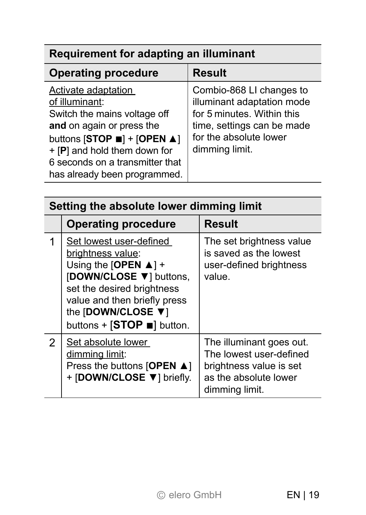# **Requirement for adapting an illuminant**

| <b>Operating procedure</b>                                                                                                                                                                                                                                         | <b>Result</b>                                                                                                                                                  |
|--------------------------------------------------------------------------------------------------------------------------------------------------------------------------------------------------------------------------------------------------------------------|----------------------------------------------------------------------------------------------------------------------------------------------------------------|
| Activate adaptation<br>of illuminant:<br>Switch the mains voltage off<br>and on again or press the<br>buttons [STOP $\blacksquare$ ] + [OPEN $\blacktriangle$ ]<br>+ [P] and hold them down for<br>6 seconds on a transmitter that<br>has already been programmed. | Combio-868 LI changes to<br>illuminant adaptation mode<br>for 5 minutes. Within this<br>time, settings can be made<br>for the absolute lower<br>dimming limit. |

| Setting the absolute lower dimming limit |                                                                                                                                                                                                                                                |                                                                                                                           |
|------------------------------------------|------------------------------------------------------------------------------------------------------------------------------------------------------------------------------------------------------------------------------------------------|---------------------------------------------------------------------------------------------------------------------------|
|                                          | <b>Operating procedure</b>                                                                                                                                                                                                                     | <b>Result</b>                                                                                                             |
|                                          | Set lowest user-defined<br>brightness value:<br>Using the [OPEN $\blacktriangle$ ] +<br>[DOWN/CLOSE ▼] buttons,<br>set the desired brightness<br>value and then briefly press<br>the [DOWN/CLOSE ▼]<br>buttons + $[STOP \blacksquare]$ button. | The set brightness value<br>is saved as the lowest<br>user-defined brightness<br>value                                    |
| 2                                        | Set absolute lower<br>dimming limit:<br>Press the buttons [OPEN $\blacktriangle$ ]<br>+ [DOWN/CLOSE $\Psi$ ] briefly.                                                                                                                          | The illuminant goes out.<br>The lowest user-defined<br>brightness value is set<br>as the absolute lower<br>dimming limit. |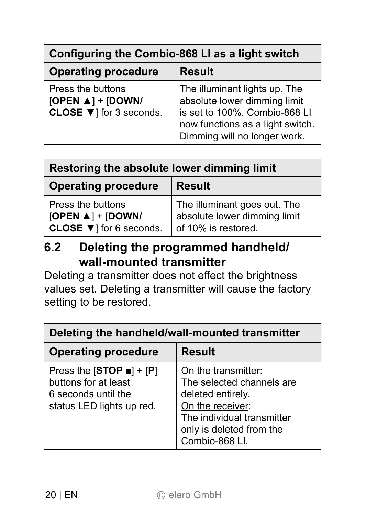| Configuring the Combio-868 LI as a light switch                                 |                                                                                                                                                                    |  |
|---------------------------------------------------------------------------------|--------------------------------------------------------------------------------------------------------------------------------------------------------------------|--|
| <b>Operating procedure</b>                                                      | <b>Result</b>                                                                                                                                                      |  |
| Press the buttons<br>[OPEN $\triangle$ ] + [DOWN/<br>CLOSE $\Pi$ for 3 seconds. | The illuminant lights up. The<br>absolute lower dimming limit<br>is set to 100%. Combio-868 LI<br>now functions as a light switch.<br>Dimming will no longer work. |  |

| Restoring the absolute lower dimming limit |  |  |  |
|--------------------------------------------|--|--|--|
|                                            |  |  |  |

| <b>Operating procedure</b>                                                         | <b>Result</b>                                                                       |  |
|------------------------------------------------------------------------------------|-------------------------------------------------------------------------------------|--|
| Press the buttons<br>[OPEN $\triangle$ ] + [DOWN/<br>CLOSE $\Psi$ ] for 6 seconds. | The illuminant goes out. The<br>absolute lower dimming limit<br>of 10% is restored. |  |

### **6.2 Deleting the programmed handheld/ wall-mounted transmitter**

Deleting a transmitter does not effect the brightness values set. Deleting a transmitter will cause the factory setting to be restored.

| Deleting the handheld/wall-mounted transmitter                                                                        |                                                                                                                                                                       |  |
|-----------------------------------------------------------------------------------------------------------------------|-----------------------------------------------------------------------------------------------------------------------------------------------------------------------|--|
| <b>Operating procedure</b>                                                                                            | <b>Result</b>                                                                                                                                                         |  |
| Press the $[STOP \nightharpoonup ] + [P]$<br>buttons for at least<br>6 seconds until the<br>status LED lights up red. | On the transmitter:<br>The selected channels are<br>deleted entirely.<br>On the receiver:<br>The individual transmitter<br>only is deleted from the<br>Combio-868 Ll. |  |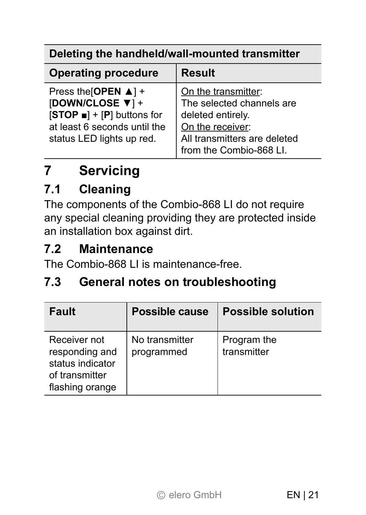#### **Deleting the handheld/wall-mounted transmitter**

| <b>Operating procedure</b>                                                                                                                                        | <b>Result</b>                                                                                                                                        |
|-------------------------------------------------------------------------------------------------------------------------------------------------------------------|------------------------------------------------------------------------------------------------------------------------------------------------------|
| Press the [OPEN $\blacktriangle$ ] +<br>[DOWN/CLOSE ▼] +<br>$[STOP \blacksquare ] + [P]$ buttons for<br>at least 6 seconds until the<br>status LED lights up red. | On the transmitter:<br>The selected channels are<br>deleted entirely.<br>On the receiver:<br>All transmitters are deleted<br>from the Combio-868 LI. |

# **7 Servicing**

#### **7.1 Cleaning**

The components of the Combio-868 LI do not require any special cleaning providing they are protected inside an installation box against dirt.

# **7.2 Maintenance**

The Combio-868 LI is maintenance-free.

#### **7.3 General notes on troubleshooting**

| Fault                                                                                   | Possible cause               | <b>Possible solution</b>   |
|-----------------------------------------------------------------------------------------|------------------------------|----------------------------|
| Receiver not<br>responding and<br>status indicator<br>of transmitter<br>flashing orange | No transmitter<br>programmed | Program the<br>transmitter |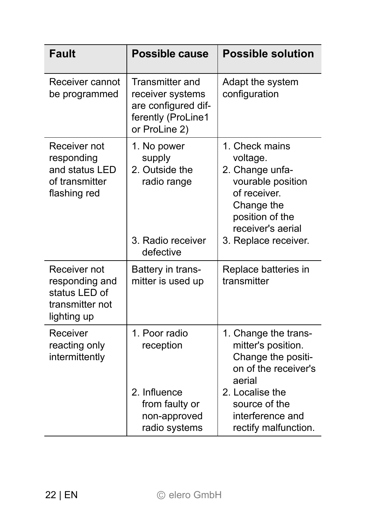| Fault                                                                              | Possible cause                                                                                    | <b>Possible solution</b>                                                                                                                                                           |
|------------------------------------------------------------------------------------|---------------------------------------------------------------------------------------------------|------------------------------------------------------------------------------------------------------------------------------------------------------------------------------------|
| Receiver cannot<br>be programmed                                                   | Transmitter and<br>receiver systems<br>are configured dif-<br>ferently (ProLine1<br>or ProLine 2) | Adapt the system<br>configuration                                                                                                                                                  |
| Receiver not<br>responding<br>and status LED<br>of transmitter<br>flashing red     | 1. No power<br>supply<br>2. Outside the<br>radio range<br>3. Radio receiver<br>defective          | 1. Check mains<br>voltage.<br>2. Change unfa-<br>vourable position<br>of receiver.<br>Change the<br>position of the<br>receiver's aerial<br>3. Replace receiver.                   |
| Receiver not<br>responding and<br>status I FD of<br>transmitter not<br>lighting up | Battery in trans-<br>mitter is used up                                                            | Replace batteries in<br>transmitter                                                                                                                                                |
| Receiver<br>reacting only<br>intermittently                                        | 1 Poor radio<br>reception<br>2. Influence<br>from faulty or<br>non-approved<br>radio systems      | 1. Change the trans-<br>mitter's position.<br>Change the positi-<br>on of the receiver's<br>aerial<br>2. Localise the<br>source of the<br>interference and<br>rectify malfunction. |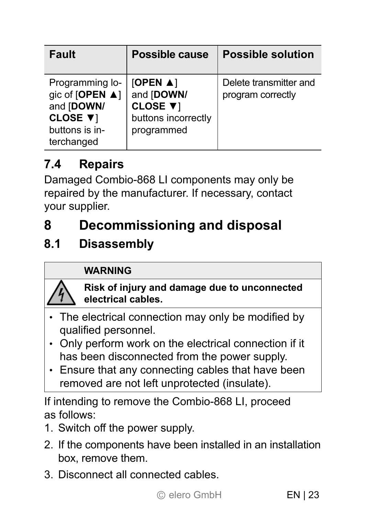| <b>Fault</b>                                                                                 | <b>Possible cause</b>                                                                   | <b>Possible solution</b>                    |
|----------------------------------------------------------------------------------------------|-----------------------------------------------------------------------------------------|---------------------------------------------|
| Programming lo-<br>gic of [OPEN ▲]<br>and [DOWN/<br>CLOSE ▼1<br>buttons is in-<br>terchanged | [OPEN $\blacktriangle$ ]<br>and [DOWN/<br>CLOSE ▼1<br>buttons incorrectly<br>programmed | Delete transmitter and<br>program correctly |

# **7.4 Repairs**

Damaged Combio-868 LI components may only be repaired by the manufacturer. If necessary, contact your supplier.

# **8 Decommissioning and disposal**

### **8.1 Disassembly**

#### **WARNING**

**Risk of injury and damage due to unconnected electrical cables.** 

- $\cdot$  The electrical connection may only be modified by qualified personnel.
- Only perform work on the electrical connection if it has been disconnected from the power supply.
- Ensure that any connecting cables that have been removed are not left unprotected (insulate).

If intending to remove the Combio-868 LI, proceed as follows:

- 1. Switch off the power supply.
- 2. If the components have been installed in an installation box, remove them.
- 3. Disconnect all connected cables.